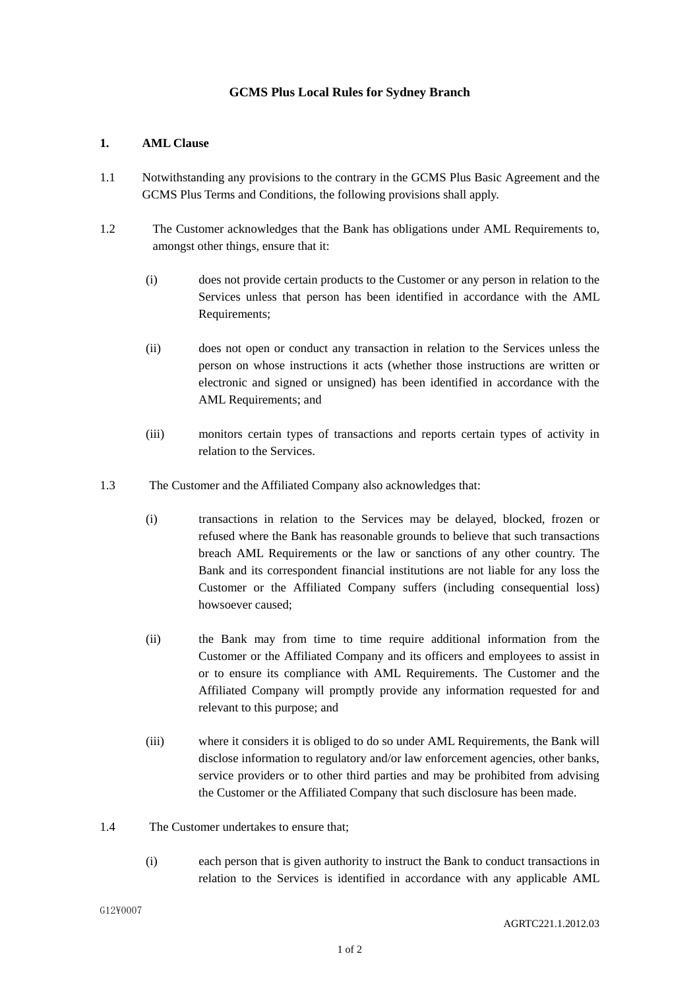## **GCMS Plus Local Rules for Sydney Branch**

## **1. AML Clause**

- 1.1 Notwithstanding any provisions to the contrary in the GCMS Plus Basic Agreement and the GCMS Plus Terms and Conditions, the following provisions shall apply.
- 1.2 The Customer acknowledges that the Bank has obligations under AML Requirements to, amongst other things, ensure that it:
	- (i) does not provide certain products to the Customer or any person in relation to the Services unless that person has been identified in accordance with the AML Requirements;
	- (ii) does not open or conduct any transaction in relation to the Services unless the person on whose instructions it acts (whether those instructions are written or electronic and signed or unsigned) has been identified in accordance with the AML Requirements; and
	- (iii) monitors certain types of transactions and reports certain types of activity in relation to the Services.
- 1.3 The Customer and the Affiliated Company also acknowledges that:
	- (i) transactions in relation to the Services may be delayed, blocked, frozen or refused where the Bank has reasonable grounds to believe that such transactions breach AML Requirements or the law or sanctions of any other country. The Bank and its correspondent financial institutions are not liable for any loss the Customer or the Affiliated Company suffers (including consequential loss) howsoever caused;
	- (ii) the Bank may from time to time require additional information from the Customer or the Affiliated Company and its officers and employees to assist in or to ensure its compliance with AML Requirements. The Customer and the Affiliated Company will promptly provide any information requested for and relevant to this purpose; and
	- (iii) where it considers it is obliged to do so under AML Requirements, the Bank will disclose information to regulatory and/or law enforcement agencies, other banks, service providers or to other third parties and may be prohibited from advising the Customer or the Affiliated Company that such disclosure has been made.
- 1.4 The Customer undertakes to ensure that;
	- (i) each person that is given authority to instruct the Bank to conduct transactions in relation to the Services is identified in accordance with any applicable AML

G12¥0007